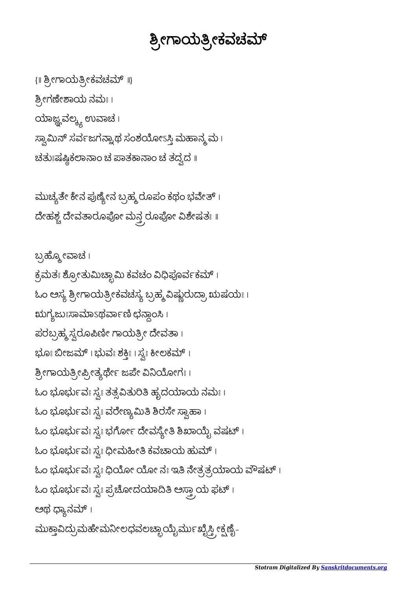## ಶ್ರೀಗಾಯತ್ರೀಕವಚಮ್

{ ॥ ಶ್ರೀಗಾಯತ್ರೀಕವಚಮ್ ॥} ಶ್ರೀಗಣೇಶಾಯ ನಮಃ। ಯಾಜ್ಞವಲ್ಕ್ಯ ಉವಾಚ । ಸ್ವಾಮಿನ್ ಸರ್ವಜಗನ್ನಾಥ ಸಂಶಯೋಽಸ್ತಿ ಮಹಾನ್ಮ್ಮು। ಚತುಃಷಷ್ಲಿಕಲಾನಾಂ ಚ ಪಾತಕಾನಾಂ ಚ ತದ್ವದ <mark>။</mark>

ಮುಚ್ಯತೇ ಕೇನ ಪುಣ್ಯೇನ ಬ್ರಹ್ಮ ರೂಪಂ ಕಥಂ ಭವೇತ್ । ದೇಹಶ್ಚ ದೇವತಾರೂಪೋ ಮನ್ತ್ರರೂಪೋ ವಿಶೇಷತಃ ॥

ಬ್ರಹ್ಮೋವಾಚ । ಕ್ರಮತಃ ಶ್ರೋತುಮಿಚ್ಛಾಮಿ ಕವಚಂ ವಿಧಿಪೂರ್ವಕಮ್ । ಓಂ ಅಸ್ಯ ಶ್ರೀಗಾಯತ್ರೀಕವಚಸ್ಯ ಬ್ರಹ್ಮ ವಿಷ್ಣುರುದ್ರಾ ಋಷಯಃ । ಋಗ್ಯಜುಃಸಾಮಾಽಥರ್ವಾಣಿ ಛನ್ಗಾಂಸಿ । ಪರಬ್ರಹ್ಮ ಸ್ವರೂಪಿಣೀ ಗಾಯತ್ರೀ ದೇವತಾ। ಭೂಃ ಬೀಜಮ್ । ಭುವಃ ಶಕ್ತಿಃ । ಸ್ವಃ ಕೀಲಕಮ್ । ಶ್ರೀಗಾಯತ್ರೀಪ್ರೀತ್ಯರ್ಥೇ ಜಪೇ ವಿನಿಯೋಗಃ । ಓಂ ಭೂರ್ಭುವಃ ಸ್ವಃ ತತ್ಸವಿತುರಿತಿ ಹೃದಯಾಯ ನಮಃ । ಓಂ ಭೂರ್ಭುವಃ ಸ್ವಃ ವರೇಣ್ಯಮಿತಿ ಶಿರಸೇ ಸ್ವಾಹಾ । ಓಂ ಭೂರ್ಭುವಃ ಸ್ವಃ ಭರ್ಗೋ ದೇವಸ್ಯೇತಿ ಶಿಖಾಯೈ ವಷಟ್ ।  $\mathbb k$ ಂ ಭೂರ್ಭುವಃ ಸ್ವಃ ಧೀಮಹೀತಿ ಕವಚಾಯ ಹುಮ್ । ಓಂ ಭೂರ್ಭುವಃ ಸ್ವಃ ಧಿಯೋ ಯೋ ನಃ ಇತಿ ನೇತ್ರತ್ರಯಾಯ ವೌಷಟ್ । ಓಂ ಭೂರ್ಭುವಃ ಸ್ವಃ ಪ್ರಚೋದಯಾದಿತಿ ಅಸ್ತ್ರಾಯ ಫಟ್ । ಅಥ ಧ್ಯಾನಮ್ । ಮುಕ್ತಾವಿದ್ರುಮಹೇಮನೀಲಧವಲಚ್ಛಾಯೈರ್ಮುಖೈಸ್ತ್ರೀಕ್ಷಣೈ-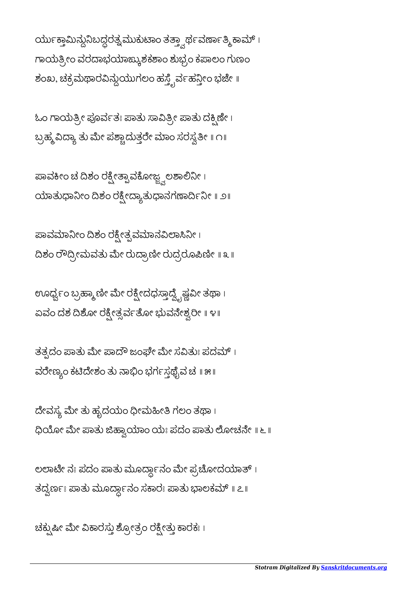ಯು೯ಕ್ತಾಮಿನ್ದುನಿಬದ್ದರತ್ನಮುಕುಟಾಂ ತತ್ತ್ವಾರ್ಥವರ್ಣಾತ್ಮಿ ಕಾಮ್ । ಗಾಯತ್ರೀಂ ವರದಾಭಯಾಙ್ಕುಶಕಶಾಂ ಶುಭ್ರಂ ಕಪಾಲಂ ಗುಣಂ ಶಂಖ, ಚಕ್ರಮಥಾರವಿನ್ದುಯುಗಲಂ ಹಸ್ತೈರ್ವಹನ್ತೀಂ ಭಜೇ ॥

ಓಂ ಗಾಯತ್ರೀ ಪೂರ್ವತಃ ಪಾತು ಸಾವಿತ್ರೀ ಪಾತು ದಕ್ಷಿಣೇ । ಬ್ರಹ್ಮ ವಿದ್ಯಾ ತು ಮೇ ಪಶ್ಚಾದುತ್ತರೇ ಮಾಂ ಸರಸ್ವತೀ ॥ ೧॥

ಪಾವಕೀಂ ಚೆ ದಿಶಂ ರಕ್ಷ್ಮೇತ್ಪಾವಕೋಜ್ಞ್ನಲಶಾಲಿನೀ। ಯಾತುಧಾನೀಂ ದಿಶಂ ರಕ್ಷೀದ್ಯಾತುಧಾನಗಣಾರ್ದಿನೀ ॥ ೨॥

ಪಾವಮಾನೀಂ ದಿಶಂ ರಕ್ಷೇತ್ಪವಮಾನವಿಲಾಸಿನೀ। ದಿಶಂ ರೌದ್ರೀಮವತು ಮೇ ರುದ್ರಾಣೀ ರುದ್ರರೂಪಿಣೀ ॥ ೩ ॥

ಊರ್ಧ್ವಂ ಬ್ರಹ್ಮಾಣೀ ಮೇ ರಕ್ಷೀದಧಸ್ತಾದ್ವೈಷ್ಣವೀ ತಥಾ । ಏವಂ ದಶ ದಿಶೋ ರಕ್ಷೀತ್ಸರ್ವತೋ ಭುವನೇಶ್ವರೀ ॥ ೪॥

ತತ್ಸದಂ ಪಾತು ಮೇ ಪಾದೌ ಜಂಘೇ ಮೇ ಸವಿತುಃ ಪದಮ್ । ವರೇಣ್ಯಂ ಕಟಿದೇಶಂ ತು ನಾಭಿಂ ಭರ್ಗಸ್ತಥೈವ ಚ ॥ ೫॥

ದೇವಸ್ಯ ಮೇ ತು ಹೃದಯಂ ಧೀಮಹೀತಿ ಗಲಂ ತಥಾ। ಧಿಯೋ ಮೇ ಪಾತು ಜಿಹ್ವಾಯಾಂ ಯಃ ಪದಂ ಪಾತು ಲೋಚನೇ ॥ ೬ ॥

ಲಲಾಟೇ ನಃ ಪದಂ ಪಾತು ಮೂರ್ದ್ದಾನಂ ಮೇ ಪ್ರಚೋದಯಾತ್ । ತದ್ವರ್ಣಃ ಪಾತು ಮೂರ್ದ್ದಾನಂ ಸಕಾರಃ ಪಾತು ಭಾಲಕಮ್ ॥ ೭॥

ಚಕ್ಸುಷೀ ಮೇ ವಿಕಾರಸ್ತು ಶ್ರೋತ್ರಂ ರಕ್ಷೇತ್ತು ಕಾರಕಃ ।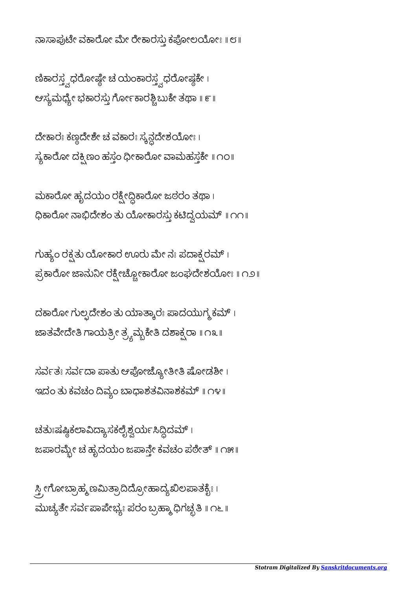ನಾಸಾಪುಟೇ ವಕಾರೋ ಮೇ ರೇಕಾರಸ್ತು ಕಪೋಲಯೋಃ ॥ ೮ ॥

ಣಿಕಾರಸ್ತ್ವಧರೋಷ್ಣೇ ಚ ಯಂಕಾರಸ್ತ್ವಧರೋಷ್ಗಕೇ । ಆಸ್ಯಮಧ್ಯೇ ಭಕಾರಸ್ತು ಗೋ೯ಕಾರಶ್ಚಿಬುಕೇ ತಥಾ ॥ ೯ ॥

ದೇಕಾರಃ ಕಣ್ಣದೇಶೇ ಚ ವಕಾರಃ ಸ್ಯನ್ಗದೇಶಯೋಃ । ಸ್ಯಕಾರೋ ದಕ್ಷಿಣಂ ಹಸ್ತಂ ಧೀಕಾರೋ ವಾಮಹಸ್ತಕೇ ॥ ೧೦॥

ಮಕಾರೋ ಹೃದಯಂ ರಕ್ಷೇದ್ಧಿಕಾರೋ ಜಠರಂ ತಥಾ। ಧಿಕಾರೋ ನಾಭಿದೇಶಂ ತು ಯೋಕಾರಸ್ತು ಕಟಿದ್ವಯಮ್ ॥ ೧೧॥

ಗುಹ್ಯಂ ರಕ್ತತು ಯೋಕಾರ ಊರು ಮೇ ನಃ ಪದಾಕ್ಸರಮ್ । ಪ್ರಕಾರೋ ಜಾನುನೀ ರಕ್ಷ್ಮೇಚ್ಚೋಕಾರೋ ಜಂಘದೇಶಯೋಃ ॥ ೧೨॥

ದಕಾರೋ ಗುಲ್ಪದೇಶಂ ತು ಯಾತ್ಕಾರಃ ಪಾದಯುಗ್ಮಕಮ್। ಜಾತವೇದೇತಿ ಗಾಯತ್ರೀ ತ್ರ್ಯಮ್ಬೆಕೇತಿ ದಶಾಕ್ಷ್ಮರಾ ॥ ೧೩ ॥

ಸರ್ವತಃ ಸರ್ವದಾ ಪಾತು ಆಪೋಜ್ಯೋತೀತಿ ಷೋಡಶೀ। ಇದಂ ತು ಕವಚಂ ದಿವ್ಯಂ ಬಾಧಾಶತವಿನಾಶಕಮ್ ॥ ೧೪॥

ಚತುಃಷಷ್ಠಿಕಲಾವಿದ್ಯಾಸಕಲೈಶ್ವರ್ಯಸಿದ್ದಿದಮ್ । ಜಪಾರಮ್ಬೇ ಚ ಹೃದಯಂ ಜಪಾನ್ತೇ ಕವಚಂ ಪಠೇತ್ ॥ ೧೫॥

<sub>್ತಿ</sub> ೕಗೋಬ್ರಾಹ್ಮಣಮಿತ್ರಾದಿದ್ರೋಹಾದ್ಯಖಿಲಪಾತಕ್<u>ಬ</u>ೇ । ಮುಚ್ಯತೇ ಸರ್ವಪಾಪೇಭ್ಯಃ ಪರಂ ಬ್ರಹ್ಮಾಧಿಗಚ್ಛತಿ ॥ ೧೬ ॥